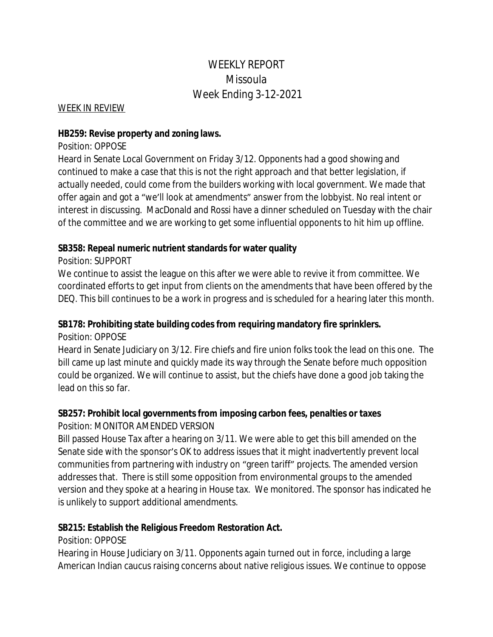# WEEKLY REPORT Missoula Week Ending 3-12-2021

#### WEEK IN REVIEW

### **HB259: Revise property and zoning laws.**

### Position: OPPOSE

Heard in Senate Local Government on Friday 3/12. Opponents had a good showing and continued to make a case that this is not the right approach and that better legislation, if actually needed, could come from the builders working with local government. We made that offer again and got a "we'll look at amendments" answer from the lobbyist. No real intent or interest in discussing. MacDonald and Rossi have a dinner scheduled on Tuesday with the chair of the committee and we are working to get some influential opponents to hit him up offline.

# **SB358: Repeal numeric nutrient standards for water quality**

# Position: SUPPORT

We continue to assist the league on this after we were able to revive it from committee. We coordinated efforts to get input from clients on the amendments that have been offered by the DEQ. This bill continues to be a work in progress and is scheduled for a hearing later this month.

# **SB178: Prohibiting state building codes from requiring mandatory fire sprinklers.**

Position: OPPOSE

Heard in Senate Judiciary on 3/12. Fire chiefs and fire union folks took the lead on this one. The bill came up last minute and quickly made its way through the Senate before much opposition could be organized. We will continue to assist, but the chiefs have done a good job taking the lead on this so far.

# **SB257: Prohibit local governments from imposing carbon fees, penalties or taxes**

# Position: MONITOR AMENDED VERSION

Bill passed House Tax after a hearing on 3/11. We were able to get this bill amended on the Senate side with the sponsor's OK to address issues that it might inadvertently prevent local communities from partnering with industry on "green tariff" projects. The amended version addresses that. There is still some opposition from environmental groups to the amended version and they spoke at a hearing in House tax. We monitored. The sponsor has indicated he is unlikely to support additional amendments.

# **SB215: Establish the Religious Freedom Restoration Act.**

# Position: OPPOSE

Hearing in House Judiciary on 3/11. Opponents again turned out in force, including a large American Indian caucus raising concerns about native religious issues. We continue to oppose